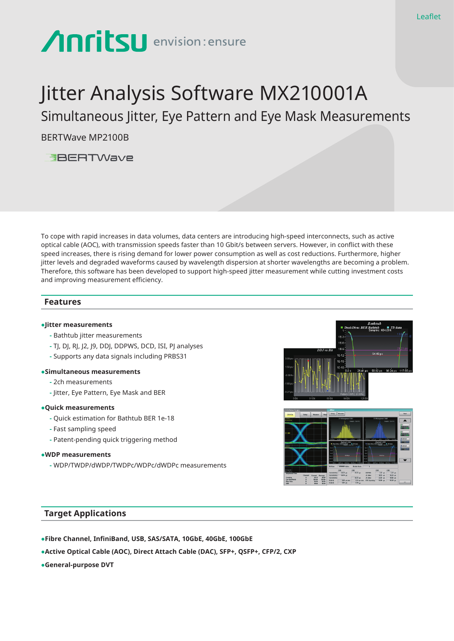# Anritsu envision: ensure

## Jitter Analysis Software MX210001A

Simultaneous Jitter, Eye Pattern and Eye Mask Measurements

BERTWave MP2100B



To cope with rapid increases in data volumes, data centers are introducing high-speed interconnects, such as active optical cable (AOC), with transmission speeds faster than 10 Gbit/s between servers. However, in conflict with these speed increases, there is rising demand for lower power consumption as well as cost reductions. Furthermore, higher jitter levels and degraded waveforms caused by wavelength dispersion at shorter wavelengths are becoming a problem. Therefore, this software has been developed to support high-speed jitter measurement while cutting investment costs and improving measurement efficiency.

## **Features**

## **●Jitter measurements**

- Bathtub jitter measurements
- TJ, DJ, RJ, J2, J9, DDJ, DDPWS, DCD, ISI, PJ analyses
- Supports any data signals including PRBS31

## **●Simultaneous measurements**

- 2ch measurements
- Jitter, Eye Pattern, Eye Mask and BER

## **●Quick measurements**

- Quick estimation for Bathtub BER 1e-18
- Fast sampling speed
- Patent-pending quick triggering method

## **●WDP measurements**

**-** WDP/TWDP/dWDP/TWDPc/WDPc/dWDPc measurements





## **Target Applications**

- **●Fibre Channel, InfiniBand, USB, SAS/SATA, 10GbE, 40GbE, 100GbE**
- **●Active Optical Cable (AOC), Direct Attach Cable (DAC), SFP+, QSFP+, CFP/2, CXP**
- **●General-purpose DVT**